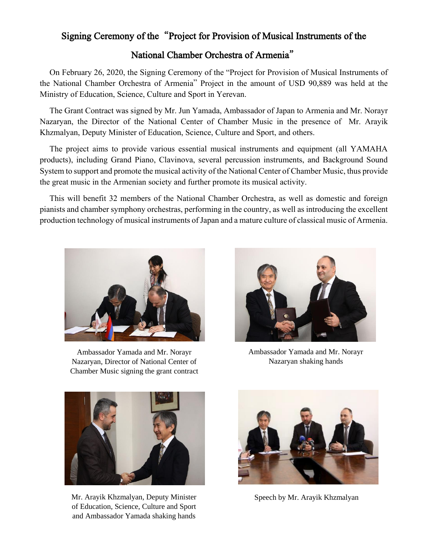## Signing Ceremony of the"Project for Provision of Musical Instruments of the

## National Chamber Orchestra of Armenia"

On February 26, 2020, the Signing Ceremony of the "Project for Provision of Musical Instruments of the National Chamber Orchestra of Armenia" Project in the amount of USD 90,889 was held at the Ministry of Education, Science, Culture and Sport in Yerevan.

The Grant Contract was signed by Mr. Jun Yamada, Ambassador of Japan to Armenia and Mr. Norayr Nazaryan, the Director of the National Center of Chamber Music in the presence of Mr. Arayik Khzmalyan, Deputy Minister of Education, Science, Culture and Sport, and others.

The project aims to provide various essential musical instruments and equipment (all YAMAHA products), including Grand Piano, Clavinova, several percussion instruments, and Background Sound System to support and promote the musical activity of the National Center of Chamber Music, thus provide the great music in the Armenian society and further promote its musical activity.

This will benefit 32 members of the National Chamber Orchestra, as well as domestic and foreign pianists and chamber symphony orchestras, performing in the country, as well as introducing the excellent production technology of musical instruments of Japan and a mature culture of classical music of Armenia.



Ambassador Yamada and Mr. Norayr Nazaryan, Director of National Center of Chamber Music signing the grant contract



Ambassador Yamada and Mr. Norayr Nazaryan shaking hands



Mr. Arayik Khzmalyan, Deputy Minister Speech by Mr. Arayik Khzmalyan of Education, Science, Culture and Sport and Ambassador Yamada shaking hands